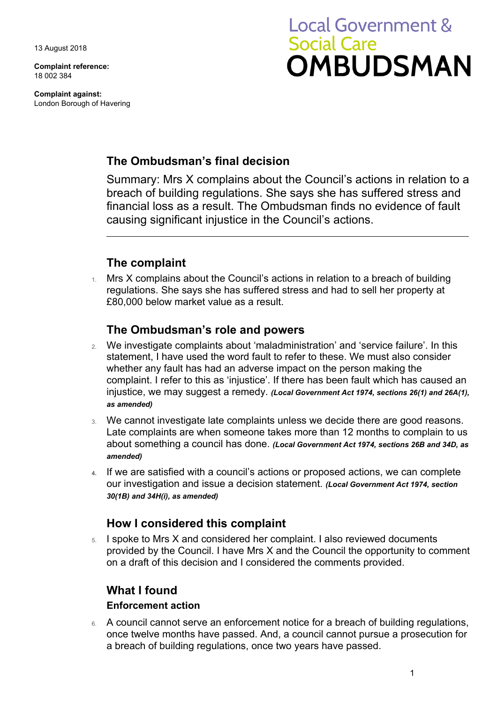13 August 2018

**Complaint reference:**  18 002 384

**Complaint against:**  London Borough of Havering

# **Local Government & Social Care OMBUDSMAN**

# **The Ombudsman's final decision**

Summary: Mrs X complains about the Council's actions in relation to a breach of building regulations. She says she has suffered stress and financial loss as a result. The Ombudsman finds no evidence of fault causing significant injustice in the Council's actions.

# **The complaint**

 $1.$  Mrs X complains about the Council's actions in relation to a breach of building regulations. She says she has suffered stress and had to sell her property at £80,000 below market value as a result.

## **The Ombudsman's role and powers**

- 2. We investigate complaints about 'maladministration' and 'service failure'. In this statement, I have used the word fault to refer to these. We must also consider whether any fault has had an adverse impact on the person making the complaint. I refer to this as 'injustice'. If there has been fault which has caused an injustice, we may suggest a remedy. *(Local Government Act 1974, sections 26(1) and 26A(1), as amended)*
- Late complaints are when someone takes more than 12 months to complain to us 3. We cannot investigate late complaints unless we decide there are good reasons. about something a council has done. *(Local Government Act 1974, sections 26B and 34D, as amended)*
- our investigation and issue a decision statement. *(Local Government Act 1974, section*  **4.** If we are satisfied with a council's actions or proposed actions, we can complete *30(1B) and 34H(i), as amended)*

# **How I considered this complaint**

 $5.$  I spoke to Mrs X and considered her complaint. I also reviewed documents on a draft of this decision and I considered the comments provided. provided by the Council. I have Mrs X and the Council the opportunity to comment

## **What I found**

### **Enforcement action**

 a breach of building regulations, once two years have passed. 6. A council cannot serve an enforcement notice for a breach of building regulations, once twelve months have passed. And, a council cannot pursue a prosecution for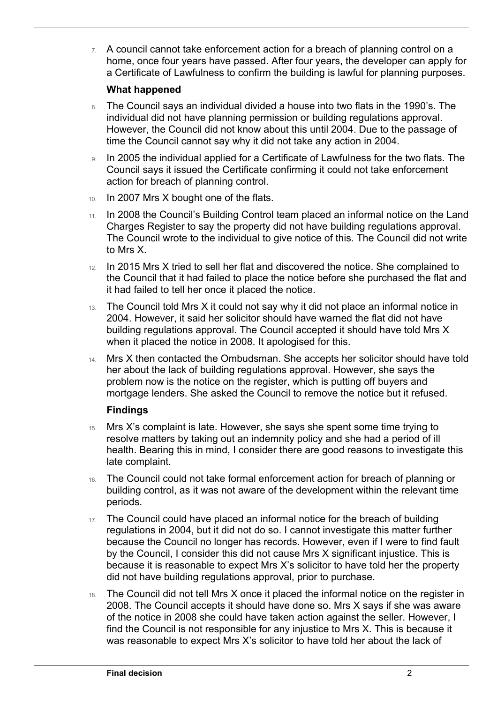a Certificate of Lawfulness to confirm the building is lawful for planning purposes. 7. A council cannot take enforcement action for a breach of planning control on a home, once four years have passed. After four years, the developer can apply for

#### **What happened**

 $\overline{a}$ 

- time the Council cannot say why it did not take any action in 2004. 8. The Council says an individual divided a house into two flats in the 1990's. The individual did not have planning permission or building regulations approval. However, the Council did not know about this until 2004. Due to the passage of
- 9. In 2005 the individual applied for a Certificate of Lawfulness for the two flats. The Council says it issued the Certificate confirming it could not take enforcement action for breach of planning control.
- 10. In 2007 Mrs X bought one of the flats.
- 11. In 2008 the Council's Building Control team placed an informal notice on the Land Charges Register to say the property did not have building regulations approval. The Council wrote to the individual to give notice of this. The Council did not write to Mrs X.
- it had failed to tell her once it placed the notice. 12. In 2015 Mrs X tried to sell her flat and discovered the notice. She complained to the Council that it had failed to place the notice before she purchased the flat and
- 13. The Council told Mrs X it could not say why it did not place an informal notice in 2004. However, it said her solicitor should have warned the flat did not have building regulations approval. The Council accepted it should have told Mrs X when it placed the notice in 2008. It apologised for this.
- problem now is the notice on the register, which is putting off buyers and 14. Mrs X then contacted the Ombudsman. She accepts her solicitor should have told her about the lack of building regulations approval. However, she says the mortgage lenders. She asked the Council to remove the notice but it refused.

#### **Findings**

- resolve matters by taking out an indemnity policy and she had a period of ill 15. Mrs X's complaint is late. However, she says she spent some time trying to health. Bearing this in mind, I consider there are good reasons to investigate this late complaint.
- 16. The Council could not take formal enforcement action for breach of planning or building control, as it was not aware of the development within the relevant time periods.
- 17. The Council could have placed an informal notice for the breach of building regulations in 2004, but it did not do so. I cannot investigate this matter further because the Council no longer has records. However, even if I were to find fault by the Council, I consider this did not cause Mrs X significant injustice. This is because it is reasonable to expect Mrs X's solicitor to have told her the property did not have building regulations approval, prior to purchase.
- $18.$  The Council did not tell Mrs X once it placed the informal notice on the register in 2008. The Council accepts it should have done so. Mrs X says if she was aware of the notice in 2008 she could have taken action against the seller. However, I find the Council is not responsible for any injustice to Mrs X. This is because it was reasonable to expect Mrs X's solicitor to have told her about the lack of